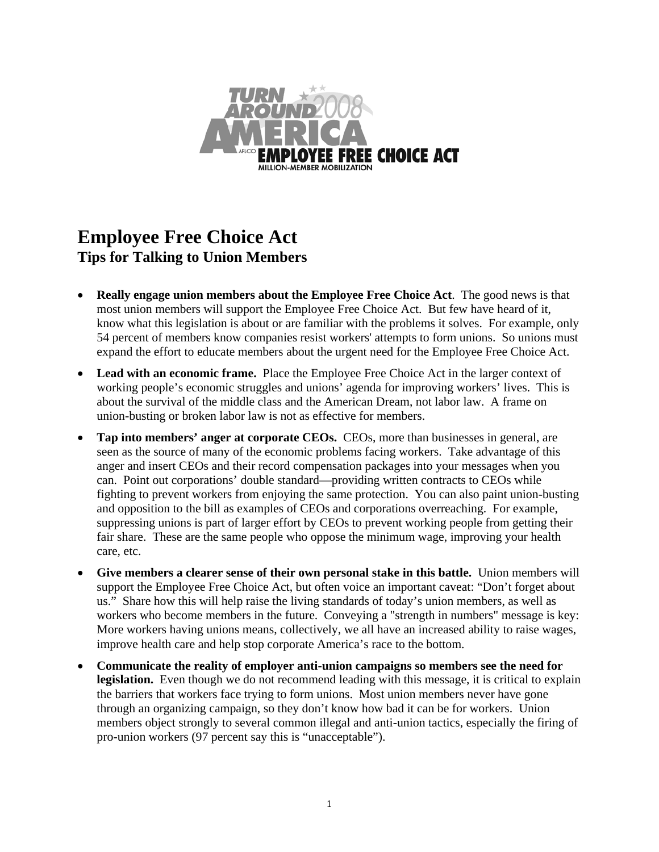

## **Employee Free Choice Act Tips for Talking to Union Members**

- **Really engage union members about the Employee Free Choice Act**. The good news is that most union members will support the Employee Free Choice Act. But few have heard of it, know what this legislation is about or are familiar with the problems it solves. For example, only 54 percent of members know companies resist workers' attempts to form unions. So unions must expand the effort to educate members about the urgent need for the Employee Free Choice Act.
- Lead with an economic frame. Place the Employee Free Choice Act in the larger context of working people's economic struggles and unions' agenda for improving workers' lives. This is about the survival of the middle class and the American Dream, not labor law. A frame on union-busting or broken labor law is not as effective for members.
- **Tap into members' anger at corporate CEOs.** CEOs, more than businesses in general, are seen as the source of many of the economic problems facing workers. Take advantage of this anger and insert CEOs and their record compensation packages into your messages when you can.Point out corporations' double standard—providing written contracts to CEOs while fighting to prevent workers from enjoying the same protection. You can also paint union-busting and opposition to the bill as examples of CEOs and corporations overreaching. For example, suppressing unions is part of larger effort by CEOs to prevent working people from getting their fair share. These are the same people who oppose the minimum wage, improving your health care, etc.
- **Give members a clearer sense of their own personal stake in this battle.** Union members will support the Employee Free Choice Act, but often voice an important caveat: "Don't forget about us." Share how this will help raise the living standards of today's union members, as well as workers who become members in the future. Conveying a "strength in numbers" message is key: More workers having unions means, collectively, we all have an increased ability to raise wages, improve health care and help stop corporate America's race to the bottom.
- **Communicate the reality of employer anti-union campaigns so members see the need for legislation.** Even though we do not recommend leading with this message, it is critical to explain the barriers that workers face trying to form unions. Most union members never have gone through an organizing campaign, so they don't know how bad it can be for workers. Union members object strongly to several common illegal and anti-union tactics, especially the firing of pro-union workers (97 percent say this is "unacceptable").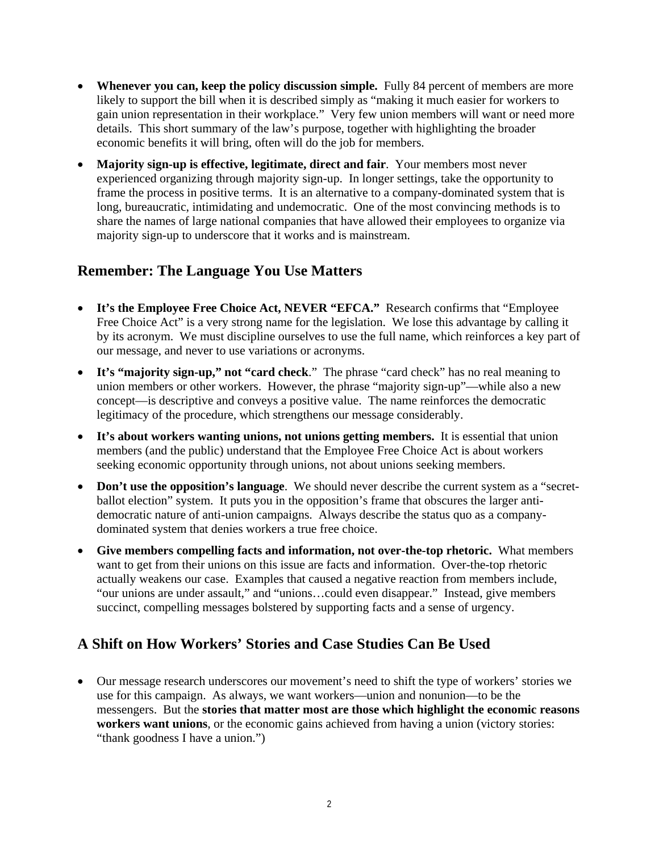- **Whenever you can, keep the policy discussion simple.** Fully 84 percent of members are more likely to support the bill when it is described simply as "making it much easier for workers to gain union representation in their workplace." Very few union members will want or need more details. This short summary of the law's purpose, together with highlighting the broader economic benefits it will bring, often will do the job for members.
- **Majority sign-up is effective, legitimate, direct and fair**. Your members most never experienced organizing through majority sign-up. In longer settings, take the opportunity to frame the process in positive terms. It is an alternative to a company-dominated system that is long, bureaucratic, intimidating and undemocratic. One of the most convincing methods is to share the names of large national companies that have allowed their employees to organize via majority sign-up to underscore that it works and is mainstream.

## **Remember: The Language You Use Matters**

- **It's the Employee Free Choice Act, NEVER "EFCA."** Research confirms that "Employee Free Choice Act" is a very strong name for the legislation. We lose this advantage by calling it by its acronym. We must discipline ourselves to use the full name, which reinforces a key part of our message, and never to use variations or acronyms.
- **It's "majority sign-up," not "card check**." The phrase "card check" has no real meaning to union members or other workers. However, the phrase "majority sign-up"—while also a new concept—is descriptive and conveys a positive value. The name reinforces the democratic legitimacy of the procedure, which strengthens our message considerably.
- **It's about workers wanting unions, not unions getting members.** It is essential that union members (and the public) understand that the Employee Free Choice Act is about workers seeking economic opportunity through unions, not about unions seeking members.
- **Don't use the opposition's language**. We should never describe the current system as a "secretballot election" system. It puts you in the opposition's frame that obscures the larger antidemocratic nature of anti-union campaigns. Always describe the status quo as a companydominated system that denies workers a true free choice.
- **Give members compelling facts and information, not over-the-top rhetoric.** What members want to get from their unions on this issue are facts and information. Over-the-top rhetoric actually weakens our case. Examples that caused a negative reaction from members include, "our unions are under assault," and "unions…could even disappear." Instead, give members succinct, compelling messages bolstered by supporting facts and a sense of urgency.

## **A Shift on How Workers' Stories and Case Studies Can Be Used**

• Our message research underscores our movement's need to shift the type of workers' stories we use for this campaign. As always, we want workers—union and nonunion—to be the messengers. But the **stories that matter most are those which highlight the economic reasons workers want unions**, or the economic gains achieved from having a union (victory stories: "thank goodness I have a union.")